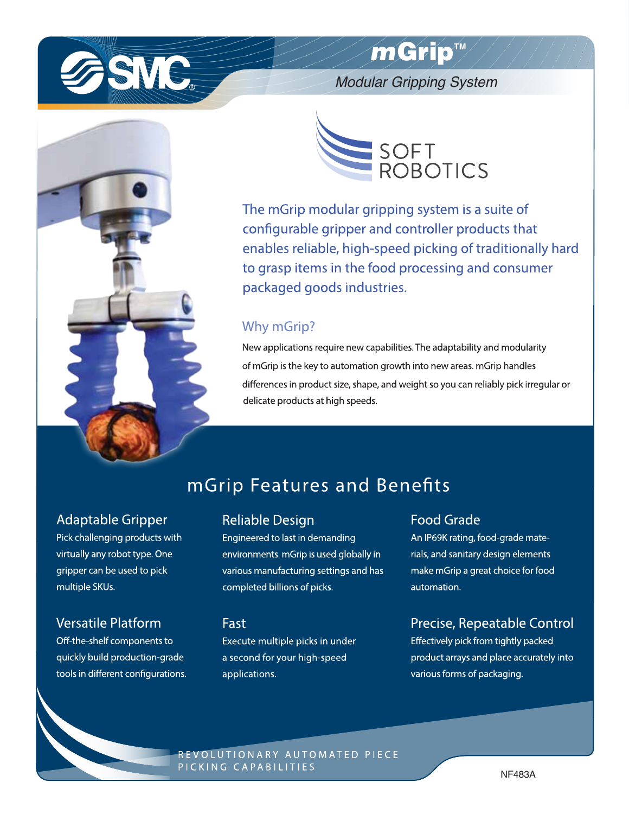

# mGrip™

**Modular Gripping System** 





The mGrip modular gripping system is a suite of configurable gripper and controller products that enables reliable, high-speed picking of traditionally hard to grasp items in the food processing and consumer packaged goods industries.

## Why mGrip?

New applications require new capabilities. The adaptability and modularity of mGrip is the key to automation growth into new areas. mGrip handles differences in product size, shape, and weight so you can reliably pick irregular or delicate products at high speeds.

## **mGrip Features and Benefits**

## **Adaptable Gripper**

Pick challenging products with virtually any robot type. One gripper can be used to pick multiple SKUs.

## **Versatile Platform**

Off-the-shelf components to quickly build production-grade tools in different configurations.

### **Reliable Design**

Engineered to last in demanding environments. mGrip is used globally in various manufacturing settings and has completed billions of picks.

### Fast

Execute multiple picks in under a second for your high-speed applications.

## **Food Grade**

An IP69K rating, food-grade materials, and sanitary design elements make mGrip a great choice for food automation.

## Precise, Repeatable Control

Effectively pick from tightly packed product arrays and place accurately into various forms of packaging.

REVOLUTIONARY AUTOMATED PIECE PICKING CAPABILITIES